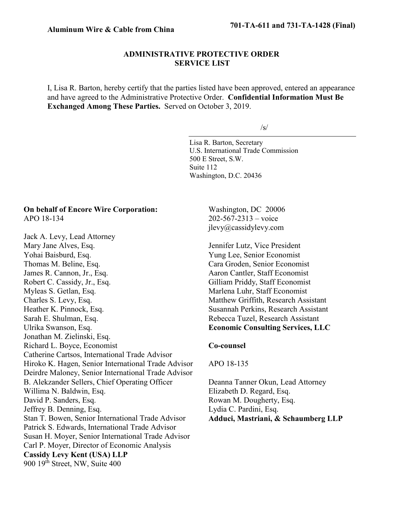# **ADMINISTRATIVE PROTECTIVE ORDER SERVICE LIST**

I, Lisa R. Barton, hereby certify that the parties listed have been approved, entered an appearance and have agreed to the Administrative Protective Order. **Confidential Information Must Be Exchanged Among These Parties.** Served on October 3, 2019.

/s/

Lisa R. Barton, Secretary U.S. International Trade Commission 500 E Street, S.W. Suite 112 Washington, D.C. 20436

# **On behalf of Encore Wire Corporation:** APO 18-134

Jack A. Levy, Lead Attorney Mary Jane Alves, Esq. Yohai Baisburd, Esq. Thomas M. Beline, Esq. James R. Cannon, Jr., Esq. Robert C. Cassidy, Jr., Esq. Myleas S. Getlan, Esq. Charles S. Levy, Esq. Heather K. Pinnock, Esq. Sarah E. Shulman, Esq. Ulrika Swanson, Esq. Jonathan M. Zielinski, Esq. Richard L. Boyce, Economist Catherine Cartsos, International Trade Advisor Hiroko K. Hagen, Senior International Trade Advisor Deirdre Maloney, Senior International Trade Advisor B. Alekzander Sellers, Chief Operating Officer Willima N. Baldwin, Esq. David P. Sanders, Esq. Jeffrey B. Denning, Esq. Stan T. Bowen, Senior International Trade Advisor Patrick S. Edwards, International Trade Advisor Susan H. Moyer, Senior International Trade Advisor Carl P. Moyer, Director of Economic Analysis **Cassidy Levy Kent (USA) LLP** 900 19<sup>th</sup> Street, NW, Suite 400

Washington, DC 20006 202-567-2313 – voice jlevy@cassidylevy.com

Jennifer Lutz, Vice President Yung Lee, Senior Economist Cara Groden, Senior Economist Aaron Cantler, Staff Economist Gilliam Priddy, Staff Economist Marlena Luhr, Staff Economist Matthew Griffith, Research Assistant Susannah Perkins, Research Assistant Rebecca Tuzel, Research Assistant **Economic Consulting Services, LLC**

## **Co-counsel**

## APO 18-135

Deanna Tanner Okun, Lead Attorney Elizabeth D. Regard, Esq. Rowan M. Dougherty, Esq. Lydia C. Pardini, Esq. **Adduci, Mastriani, & Schaumberg LLP**